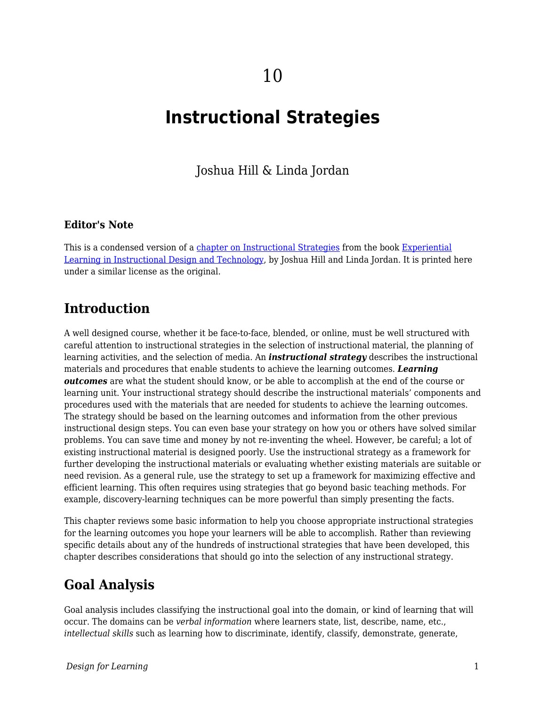# **Instructional Strategies**

Joshua Hill & Linda Jordan

#### **Editor's Note**

This is a condensed version of a [chapter on Instructional Strategies](https://experientiallearningininstructionaldesignandtechnology.pressbooks.com/chapter/3-2-instructional-strategies/) from the book [Experiential](https://experientiallearningininstructionaldesignandtechnology.pressbooks.com) [Learning in Instructional Design and Technology,](https://experientiallearningininstructionaldesignandtechnology.pressbooks.com) by Joshua Hill and Linda Jordan. It is printed here under a similar license as the original.

### **Introduction**

A well designed course, whether it be face-to-face, blended, or online, must be well structured with careful attention to instructional strategies in the selection of instructional material, the planning of learning activities, and the selection of media. An *instructional strategy* describes the instructional materials and procedures that enable students to achieve the learning outcomes. *Learning outcomes* are what the student should know, or be able to accomplish at the end of the course or learning unit. Your instructional strategy should describe the instructional materials' components and procedures used with the materials that are needed for students to achieve the learning outcomes. The strategy should be based on the learning outcomes and information from the other previous instructional design steps. You can even base your strategy on how you or others have solved similar problems. You can save time and money by not re-inventing the wheel. However, be careful; a lot of existing instructional material is designed poorly. Use the instructional strategy as a framework for further developing the instructional materials or evaluating whether existing materials are suitable or need revision. As a general rule, use the strategy to set up a framework for maximizing effective and efficient learning. This often requires using strategies that go beyond basic teaching methods. For example, discovery-learning techniques can be more powerful than simply presenting the facts.

This chapter reviews some basic information to help you choose appropriate instructional strategies for the learning outcomes you hope your learners will be able to accomplish. Rather than reviewing specific details about any of the hundreds of instructional strategies that have been developed, this chapter describes considerations that should go into the selection of any instructional strategy.

### **Goal Analysis**

Goal analysis includes classifying the instructional goal into the domain, or kind of learning that will occur. The domains can be *verbal information* where learners state, list, describe, name, etc., *intellectual skills* such as learning how to discriminate, identify, classify, demonstrate, generate,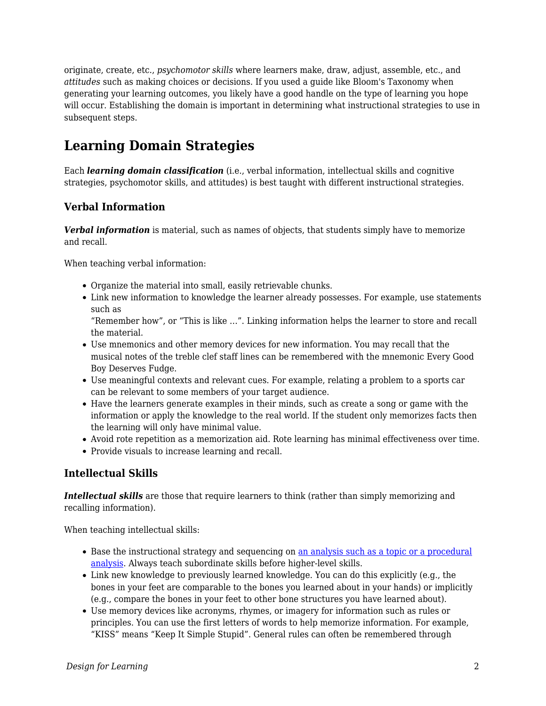originate, create, etc., *psychomotor skills* where learners make, draw, adjust, assemble, etc., and *attitudes* such as making choices or decisions. If you used a guide like Bloom's Taxonomy when generating your learning outcomes, you likely have a good handle on the type of learning you hope will occur. Establishing the domain is important in determining what instructional strategies to use in subsequent steps.

# **Learning Domain Strategies**

Each *learning domain classification* (i.e., verbal information, intellectual skills and cognitive strategies, psychomotor skills, and attitudes) is best taught with different instructional strategies.

### **Verbal Information**

*Verbal information* is material, such as names of objects, that students simply have to memorize and recall.

When teaching verbal information:

- Organize the material into small, easily retrievable chunks.
- Link new information to knowledge the learner already possesses. For example, use statements such as

"Remember how", or "This is like …". Linking information helps the learner to store and recall the material.

- Use mnemonics and other memory devices for new information. You may recall that the musical notes of the treble clef staff lines can be remembered with the mnemonic Every Good Boy Deserves Fudge.
- Use meaningful contexts and relevant cues. For example, relating a problem to a sports car can be relevant to some members of your target audience.
- Have the learners generate examples in their minds, such as create a song or game with the information or apply the knowledge to the real world. If the student only memorizes facts then the learning will only have minimal value.
- Avoid rote repetition as a memorization aid. Rote learning has minimal effectiveness over time.
- Provide visuals to increase learning and recall.

### **Intellectual Skills**

*Intellectual skills* are those that require learners to think (rather than simply memorizing and recalling information).

When teaching intellectual skills:

- Base the instructional strategy and sequencing on [an analysis such as a topic or a procedural](https://edtechbooks.org/id/task_and_content_analysis) [analysis.](https://edtechbooks.org/id/task_and_content_analysis) Always teach subordinate skills before higher-level skills.
- Link new knowledge to previously learned knowledge. You can do this explicitly (e.g., the bones in your feet are comparable to the bones you learned about in your hands) or implicitly (e.g., compare the bones in your feet to other bone structures you have learned about).
- Use memory devices like acronyms, rhymes, or imagery for information such as rules or principles. You can use the first letters of words to help memorize information. For example, "KISS" means "Keep It Simple Stupid". General rules can often be remembered through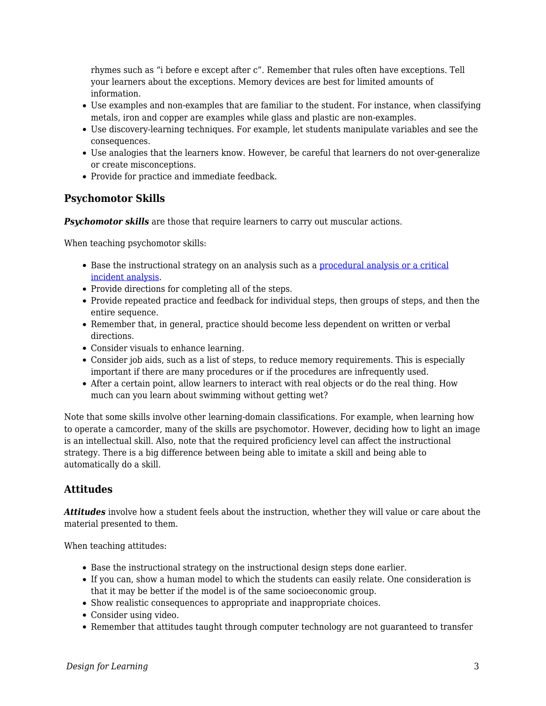rhymes such as "i before e except after c". Remember that rules often have exceptions. Tell your learners about the exceptions. Memory devices are best for limited amounts of information.

- Use examples and non-examples that are familiar to the student. For instance, when classifying metals, iron and copper are examples while glass and plastic are non-examples.
- Use discovery-learning techniques. For example, let students manipulate variables and see the consequences.
- Use analogies that the learners know. However, be careful that learners do not over-generalize or create misconceptions.
- Provide for practice and immediate feedback.

### **Psychomotor Skills**

**Psychomotor skills** are those that require learners to carry out muscular actions.

When teaching psychomotor skills:

- Base the instructional strategy on an analysis such as a [procedural analysis or a critical](https://edtechbooks.org/id/task_and_content_analysis) [incident analysis.](https://edtechbooks.org/id/task_and_content_analysis)
- Provide directions for completing all of the steps.
- Provide repeated practice and feedback for individual steps, then groups of steps, and then the entire sequence.
- Remember that, in general, practice should become less dependent on written or verbal directions.
- Consider visuals to enhance learning.
- Consider job aids, such as a list of steps, to reduce memory requirements. This is especially important if there are many procedures or if the procedures are infrequently used.
- After a certain point, allow learners to interact with real objects or do the real thing. How much can you learn about swimming without getting wet?

Note that some skills involve other learning-domain classifications. For example, when learning how to operate a camcorder, many of the skills are psychomotor. However, deciding how to light an image is an intellectual skill. Also, note that the required proficiency level can affect the instructional strategy. There is a big difference between being able to imitate a skill and being able to automatically do a skill.

### **Attitudes**

*Attitudes* involve how a student feels about the instruction, whether they will value or care about the material presented to them.

When teaching attitudes:

- Base the instructional strategy on the instructional design steps done earlier.
- If you can, show a human model to which the students can easily relate. One consideration is that it may be better if the model is of the same socioeconomic group.
- Show realistic consequences to appropriate and inappropriate choices.
- Consider using video.
- Remember that attitudes taught through computer technology are not guaranteed to transfer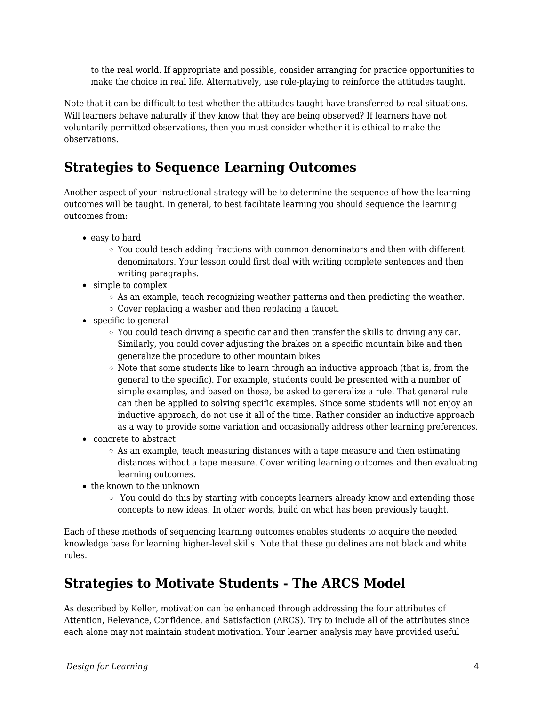to the real world. If appropriate and possible, consider arranging for practice opportunities to make the choice in real life. Alternatively, use role-playing to reinforce the attitudes taught.

Note that it can be difficult to test whether the attitudes taught have transferred to real situations. Will learners behave naturally if they know that they are being observed? If learners have not voluntarily permitted observations, then you must consider whether it is ethical to make the observations.

# **Strategies to Sequence Learning Outcomes**

Another aspect of your instructional strategy will be to determine the sequence of how the learning outcomes will be taught. In general, to best facilitate learning you should sequence the learning outcomes from:

- easy to hard
	- You could teach adding fractions with common denominators and then with different denominators. Your lesson could first deal with writing complete sentences and then writing paragraphs.
- simple to complex
	- $\circ$  As an example, teach recognizing weather patterns and then predicting the weather.
	- $\circ$  Cover replacing a washer and then replacing a faucet.
- specific to general
	- $\circ$  You could teach driving a specific car and then transfer the skills to driving any car. Similarly, you could cover adjusting the brakes on a specific mountain bike and then generalize the procedure to other mountain bikes
	- $\circ$  Note that some students like to learn through an inductive approach (that is, from the general to the specific). For example, students could be presented with a number of simple examples, and based on those, be asked to generalize a rule. That general rule can then be applied to solving specific examples. Since some students will not enjoy an inductive approach, do not use it all of the time. Rather consider an inductive approach as a way to provide some variation and occasionally address other learning preferences.
- concrete to abstract
	- $\circ$  As an example, teach measuring distances with a tape measure and then estimating distances without a tape measure. Cover writing learning outcomes and then evaluating learning outcomes.
- the known to the unknown
	- $\circ$  You could do this by starting with concepts learners already know and extending those concepts to new ideas. In other words, build on what has been previously taught.

Each of these methods of sequencing learning outcomes enables students to acquire the needed knowledge base for learning higher-level skills. Note that these guidelines are not black and white rules.

# **Strategies to Motivate Students - The ARCS Model**

As described by Keller, motivation can be enhanced through addressing the four attributes of Attention, Relevance, Confidence, and Satisfaction (ARCS). Try to include all of the attributes since each alone may not maintain student motivation. Your learner analysis may have provided useful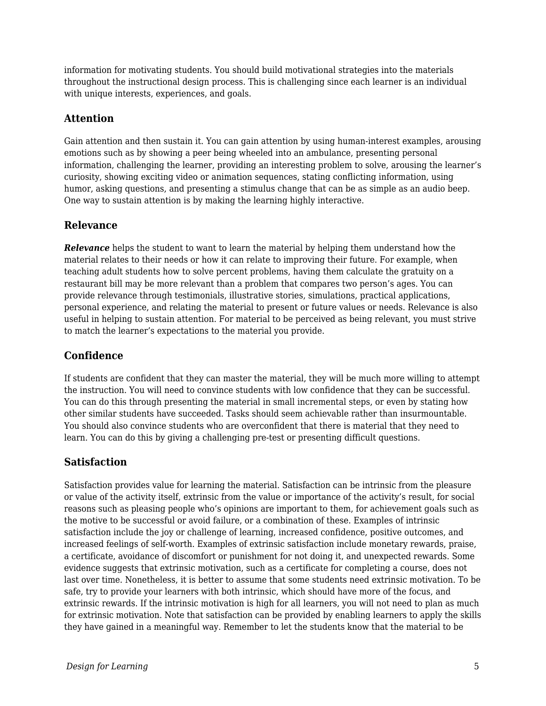information for motivating students. You should build motivational strategies into the materials throughout the instructional design process. This is challenging since each learner is an individual with unique interests, experiences, and goals.

### **Attention**

Gain attention and then sustain it. You can gain attention by using human-interest examples, arousing emotions such as by showing a peer being wheeled into an ambulance, presenting personal information, challenging the learner, providing an interesting problem to solve, arousing the learner's curiosity, showing exciting video or animation sequences, stating conflicting information, using humor, asking questions, and presenting a stimulus change that can be as simple as an audio beep. One way to sustain attention is by making the learning highly interactive.

#### **Relevance**

*Relevance* helps the student to want to learn the material by helping them understand how the material relates to their needs or how it can relate to improving their future. For example, when teaching adult students how to solve percent problems, having them calculate the gratuity on a restaurant bill may be more relevant than a problem that compares two person's ages. You can provide relevance through testimonials, illustrative stories, simulations, practical applications, personal experience, and relating the material to present or future values or needs. Relevance is also useful in helping to sustain attention. For material to be perceived as being relevant, you must strive to match the learner's expectations to the material you provide.

### **Confidence**

If students are confident that they can master the material, they will be much more willing to attempt the instruction. You will need to convince students with low confidence that they can be successful. You can do this through presenting the material in small incremental steps, or even by stating how other similar students have succeeded. Tasks should seem achievable rather than insurmountable. You should also convince students who are overconfident that there is material that they need to learn. You can do this by giving a challenging pre-test or presenting difficult questions.

### **Satisfaction**

Satisfaction provides value for learning the material. Satisfaction can be intrinsic from the pleasure or value of the activity itself, extrinsic from the value or importance of the activity's result, for social reasons such as pleasing people who's opinions are important to them, for achievement goals such as the motive to be successful or avoid failure, or a combination of these. Examples of intrinsic satisfaction include the joy or challenge of learning, increased confidence, positive outcomes, and increased feelings of self-worth. Examples of extrinsic satisfaction include monetary rewards, praise, a certificate, avoidance of discomfort or punishment for not doing it, and unexpected rewards. Some evidence suggests that extrinsic motivation, such as a certificate for completing a course, does not last over time. Nonetheless, it is better to assume that some students need extrinsic motivation. To be safe, try to provide your learners with both intrinsic, which should have more of the focus, and extrinsic rewards. If the intrinsic motivation is high for all learners, you will not need to plan as much for extrinsic motivation. Note that satisfaction can be provided by enabling learners to apply the skills they have gained in a meaningful way. Remember to let the students know that the material to be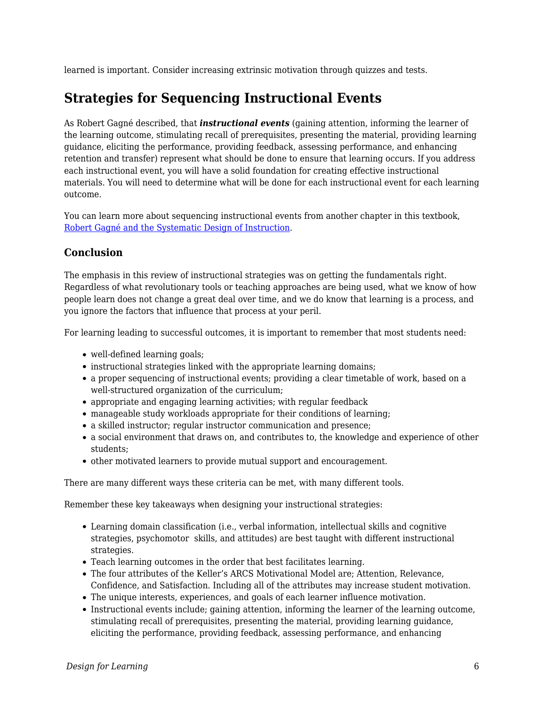learned is important. Consider increasing extrinsic motivation through quizzes and tests.

# **Strategies for Sequencing Instructional Events**

As Robert Gagné described, that *instructional events* (gaining attention, informing the learner of the learning outcome, stimulating recall of prerequisites, presenting the material, providing learning guidance, eliciting the performance, providing feedback, assessing performance, and enhancing retention and transfer) represent what should be done to ensure that learning occurs. If you address each instructional event, you will have a solid foundation for creating effective instructional materials. You will need to determine what will be done for each instructional event for each learning outcome.

You can learn more about sequencing instructional events from another chapter in this textbook, [Robert Gagné and the Systematic Design of Instruction](https://edtechbooks.org/id/robert_gagn_and_systematic_design).

### **Conclusion**

The emphasis in this review of instructional strategies was on getting the fundamentals right. Regardless of what revolutionary tools or teaching approaches are being used, what we know of how people learn does not change a great deal over time, and we do know that learning is a process, and you ignore the factors that influence that process at your peril.

For learning leading to successful outcomes, it is important to remember that most students need:

- well-defined learning goals;
- instructional strategies linked with the appropriate learning domains;
- a proper sequencing of instructional events; providing a clear timetable of work, based on a well-structured organization of the curriculum;
- appropriate and engaging learning activities; with regular feedback
- manageable study workloads appropriate for their conditions of learning;
- a skilled instructor; regular instructor communication and presence;
- a social environment that draws on, and contributes to, the knowledge and experience of other students;
- other motivated learners to provide mutual support and encouragement.

There are many different ways these criteria can be met, with many different tools.

Remember these key takeaways when designing your instructional strategies:

- Learning domain classification (i.e., verbal information, intellectual skills and cognitive strategies, psychomotor skills, and attitudes) are best taught with different instructional strategies.
- Teach learning outcomes in the order that best facilitates learning.
- The four attributes of the Keller's ARCS Motivational Model are; Attention, Relevance, Confidence, and Satisfaction. Including all of the attributes may increase student motivation.
- The unique interests, experiences, and goals of each learner influence motivation.
- Instructional events include; gaining attention, informing the learner of the learning outcome, stimulating recall of prerequisites, presenting the material, providing learning guidance, eliciting the performance, providing feedback, assessing performance, and enhancing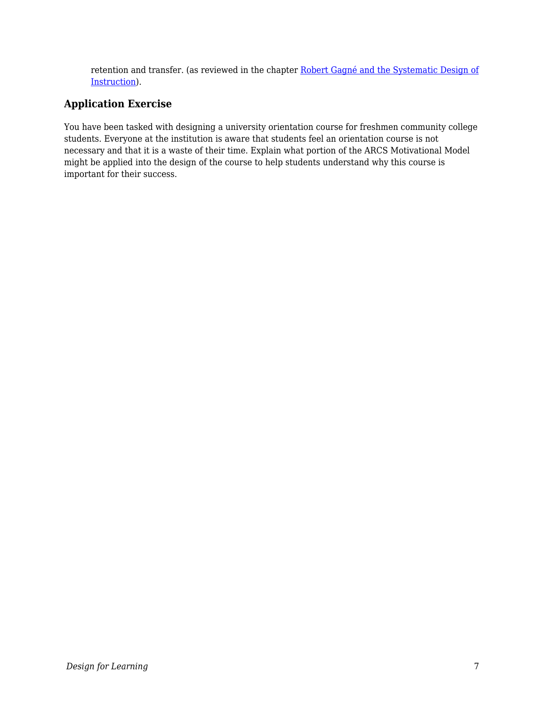retention and transfer. (as reviewed in the chapter [Robert Gagné and the Systematic Design of](https://edtechbooks.org/id/robert_gagn_and_systematic_design) [Instruction](https://edtechbooks.org/id/robert_gagn_and_systematic_design)).

### **Application Exercise**

You have been tasked with designing a university orientation course for freshmen community college students. Everyone at the institution is aware that students feel an orientation course is not necessary and that it is a waste of their time. Explain what portion of the ARCS Motivational Model might be applied into the design of the course to help students understand why this course is important for their success.